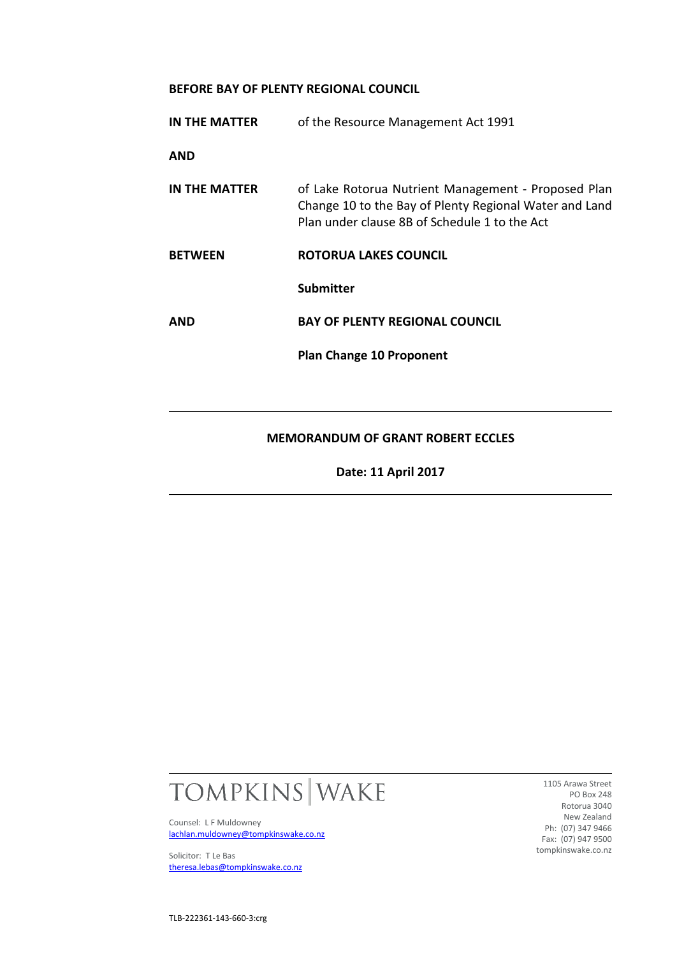#### **BEFORE BAY OF PLENTY REGIONAL COUNCIL**

| IN THE MATTER  | of the Resource Management Act 1991                                                                                                                            |
|----------------|----------------------------------------------------------------------------------------------------------------------------------------------------------------|
| AND            |                                                                                                                                                                |
| IN THE MATTER  | of Lake Rotorua Nutrient Management - Proposed Plan<br>Change 10 to the Bay of Plenty Regional Water and Land<br>Plan under clause 8B of Schedule 1 to the Act |
| <b>BETWEEN</b> | ROTORUA LAKES COUNCIL                                                                                                                                          |
|                | <b>Submitter</b>                                                                                                                                               |
| AND            | <b>BAY OF PLENTY REGIONAL COUNCIL</b>                                                                                                                          |
|                | <b>Plan Change 10 Proponent</b>                                                                                                                                |
|                |                                                                                                                                                                |
|                |                                                                                                                                                                |

## **MEMORANDUM OF GRANT ROBERT ECCLES**

**Date: 11 April 2017**



Counsel: L F Muldowney [lachlan.muldowney@tompkinswake.co.nz](mailto:lachlan.muldowney@tompkinswake.co.nz)

Solicitor: T Le Bas [theresa.lebas@tompkinswake.co.nz](mailto:theresa.lebas@tompkinswake.co.nz)

1105 Arawa Street PO Box 248 Rotorua 3040 New Zealand Ph: (07) 347 9466 Fax: (07) 947 9500 tompkinswake.co.nz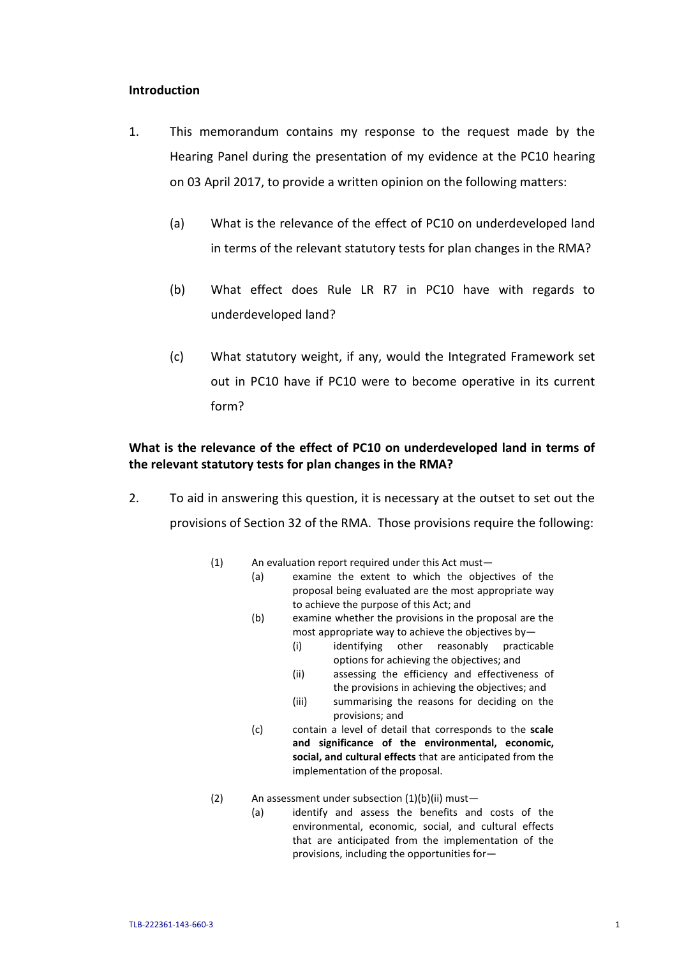### **Introduction**

- 1. This memorandum contains my response to the request made by the Hearing Panel during the presentation of my evidence at the PC10 hearing on 03 April 2017, to provide a written opinion on the following matters:
	- (a) What is the relevance of the effect of PC10 on underdeveloped land in terms of the relevant statutory tests for plan changes in the RMA?
	- (b) What effect does Rule LR R7 in PC10 have with regards to underdeveloped land?
	- (c) What statutory weight, if any, would the Integrated Framework set out in PC10 have if PC10 were to become operative in its current form?

## **What is the relevance of the effect of PC10 on underdeveloped land in terms of the relevant statutory tests for plan changes in the RMA?**

- 2. To aid in answering this question, it is necessary at the outset to set out the provisions of Section 32 of the RMA. Those provisions require the following:
	- (1) An evaluation report required under this Act must—
		- (a) examine the extent to which the objectives of the proposal being evaluated are the most appropriate way to achieve the purpose of this Act; and
		- (b) examine whether the provisions in the proposal are the most appropriate way to achieve the objectives by—
			- (i) identifying other reasonably practicable options for achieving the objectives; and
			- (ii) assessing the efficiency and effectiveness of the provisions in achieving the objectives; and
			- (iii) summarising the reasons for deciding on the provisions; and
		- (c) contain a level of detail that corresponds to the **scale and significance of the environmental, economic, social, and cultural effects** that are anticipated from the implementation of the proposal.
	- (2) An assessment under subsection (1)(b)(ii) must—
		- (a) identify and assess the benefits and costs of the environmental, economic, social, and cultural effects that are anticipated from the implementation of the provisions, including the opportunities for—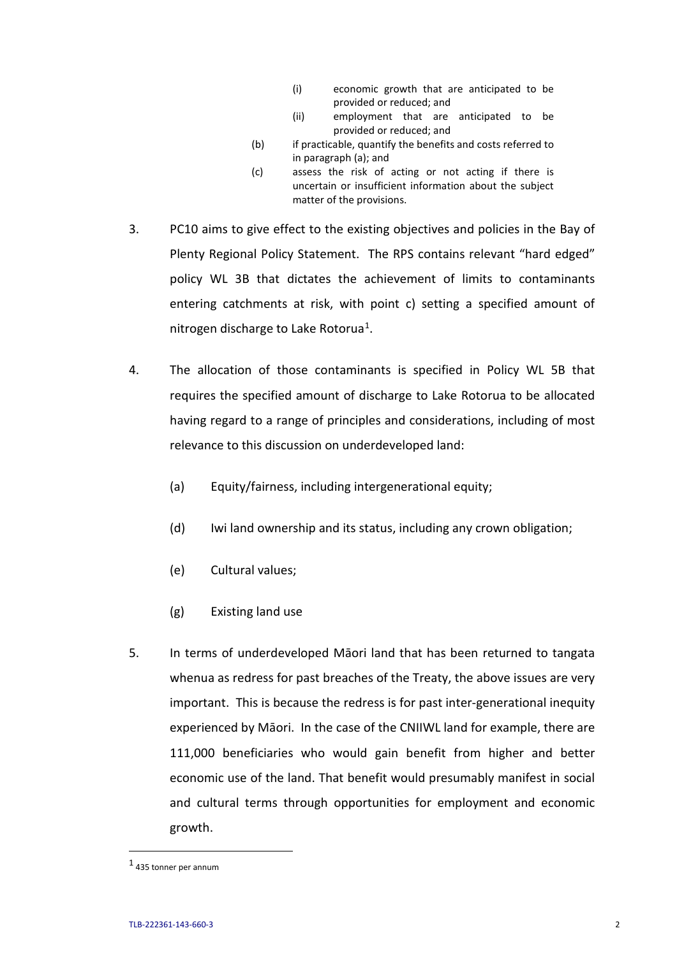- (i) economic growth that are anticipated to be provided or reduced; and
- (ii) employment that are anticipated to be provided or reduced; and
- (b) if practicable, quantify the benefits and costs referred to in paragraph (a); and
- (c) assess the risk of acting or not acting if there is uncertain or insufficient information about the subject matter of the provisions.
- 3. PC10 aims to give effect to the existing objectives and policies in the Bay of Plenty Regional Policy Statement. The RPS contains relevant "hard edged" policy WL 3B that dictates the achievement of limits to contaminants entering catchments at risk, with point c) setting a specified amount of nitrogen discharge to Lake Rotorua[1](#page-2-0).
- 4. The allocation of those contaminants is specified in Policy WL 5B that requires the specified amount of discharge to Lake Rotorua to be allocated having regard to a range of principles and considerations, including of most relevance to this discussion on underdeveloped land:
	- (a) Equity/fairness, including intergenerational equity;
	- (d) Iwi land ownership and its status, including any crown obligation;
	- (e) Cultural values;
	- (g) Existing land use
- 5. In terms of underdeveloped Māori land that has been returned to tangata whenua as redress for past breaches of the Treaty, the above issues are very important. This is because the redress is for past inter-generational inequity experienced by Māori. In the case of the CNIIWL land for example, there are 111,000 beneficiaries who would gain benefit from higher and better economic use of the land. That benefit would presumably manifest in social and cultural terms through opportunities for employment and economic growth.

<span id="page-2-0"></span> <sup>1</sup> 435 tonner per annum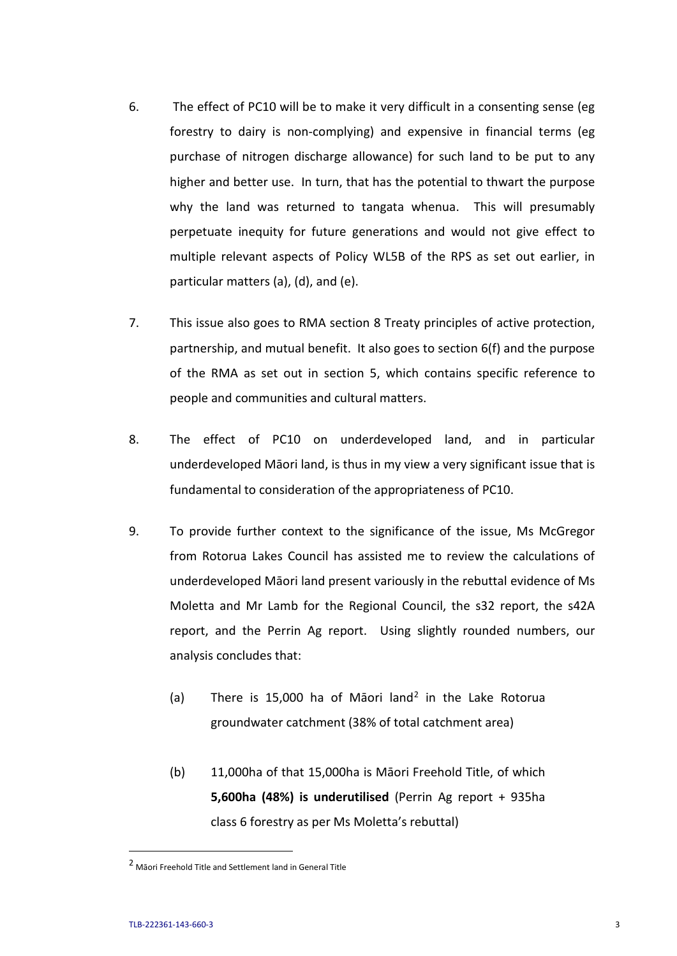- 6. The effect of PC10 will be to make it very difficult in a consenting sense (eg forestry to dairy is non-complying) and expensive in financial terms (eg purchase of nitrogen discharge allowance) for such land to be put to any higher and better use. In turn, that has the potential to thwart the purpose why the land was returned to tangata whenua. This will presumably perpetuate inequity for future generations and would not give effect to multiple relevant aspects of Policy WL5B of the RPS as set out earlier, in particular matters (a), (d), and (e).
- 7. This issue also goes to RMA section 8 Treaty principles of active protection, partnership, and mutual benefit. It also goes to section 6(f) and the purpose of the RMA as set out in section 5, which contains specific reference to people and communities and cultural matters.
- 8. The effect of PC10 on underdeveloped land, and in particular underdeveloped Māori land, is thus in my view a very significant issue that is fundamental to consideration of the appropriateness of PC10.
- 9. To provide further context to the significance of the issue, Ms McGregor from Rotorua Lakes Council has assisted me to review the calculations of underdeveloped Māori land present variously in the rebuttal evidence of Ms Moletta and Mr Lamb for the Regional Council, the s32 report, the s42A report, and the Perrin Ag report. Using slightly rounded numbers, our analysis concludes that:
	- (a) There is 15,000 ha of Maori land<sup>[2](#page-3-0)</sup> in the Lake Rotorua groundwater catchment (38% of total catchment area)
	- (b) 11,000ha of that 15,000ha is Māori Freehold Title, of which **5,600ha (48%) is underutilised** (Perrin Ag report + 935ha class 6 forestry as per Ms Moletta's rebuttal)

<span id="page-3-0"></span> <sup>2</sup> Māori Freehold Title and Settlement land in General Title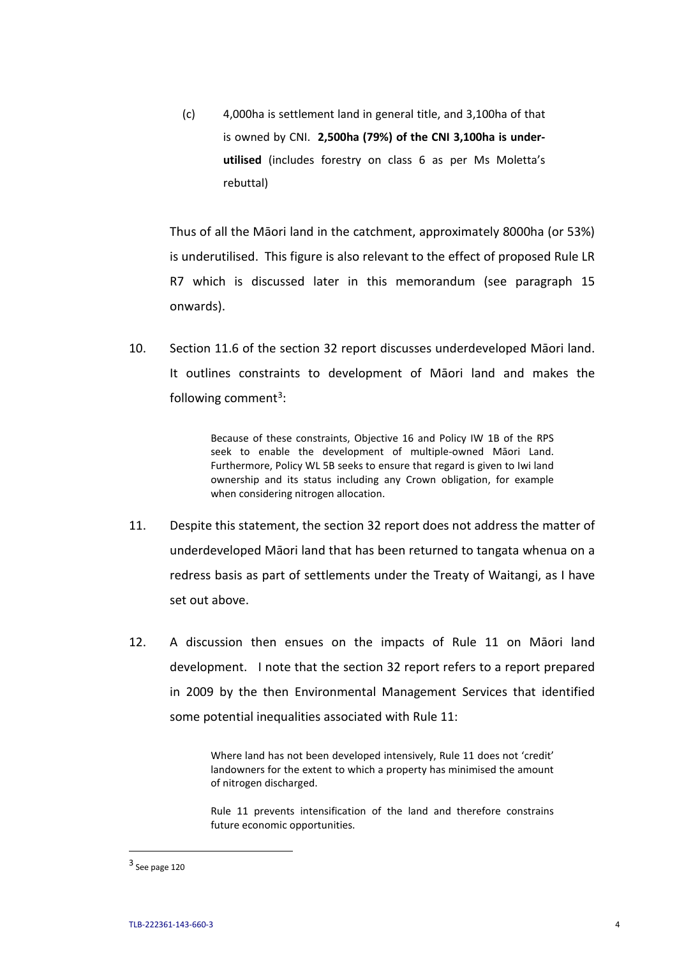(c) 4,000ha is settlement land in general title, and 3,100ha of that is owned by CNI. **2,500ha (79%) of the CNI 3,100ha is underutilised** (includes forestry on class 6 as per Ms Moletta's rebuttal)

Thus of all the Māori land in the catchment, approximately 8000ha (or 53%) is underutilised. This figure is also relevant to the effect of proposed Rule LR R7 which is discussed later in this memorandum (see paragraph 15 onwards).

10. Section 11.6 of the section 32 report discusses underdeveloped Māori land. It outlines constraints to development of Māori land and makes the following comment<sup>3</sup>:

> Because of these constraints, Objective 16 and Policy IW 1B of the RPS seek to enable the development of multiple-owned Māori Land. Furthermore, Policy WL 5B seeks to ensure that regard is given to Iwi land ownership and its status including any Crown obligation, for example when considering nitrogen allocation.

- 11. Despite this statement, the section 32 report does not address the matter of underdeveloped Māori land that has been returned to tangata whenua on a redress basis as part of settlements under the Treaty of Waitangi, as I have set out above.
- 12. A discussion then ensues on the impacts of Rule 11 on Māori land development. I note that the section 32 report refers to a report prepared in 2009 by the then Environmental Management Services that identified some potential inequalities associated with Rule 11:

Where land has not been developed intensively, Rule 11 does not 'credit' landowners for the extent to which a property has minimised the amount of nitrogen discharged.

Rule 11 prevents intensification of the land and therefore constrains future economic opportunities.

<span id="page-4-0"></span> <sup>3</sup> See page 120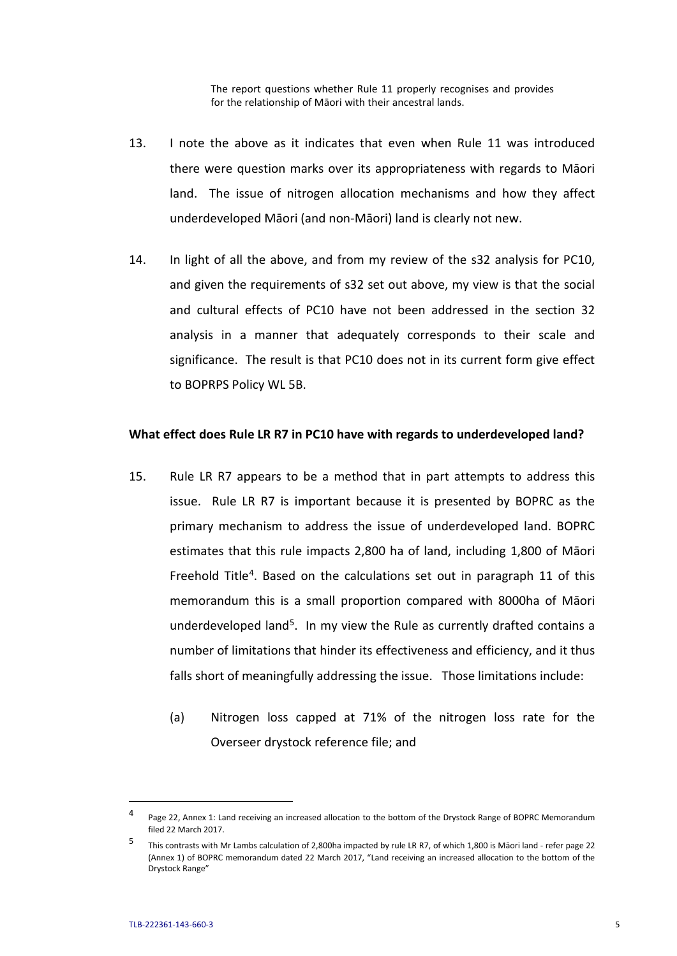The report questions whether Rule 11 properly recognises and provides for the relationship of Māori with their ancestral lands.

- 13. I note the above as it indicates that even when Rule 11 was introduced there were question marks over its appropriateness with regards to Māori land. The issue of nitrogen allocation mechanisms and how they affect underdeveloped Māori (and non-Māori) land is clearly not new.
- 14. In light of all the above, and from my review of the s32 analysis for PC10, and given the requirements of s32 set out above, my view is that the social and cultural effects of PC10 have not been addressed in the section 32 analysis in a manner that adequately corresponds to their scale and significance. The result is that PC10 does not in its current form give effect to BOPRPS Policy WL 5B.

#### **What effect does Rule LR R7 in PC10 have with regards to underdeveloped land?**

- 15. Rule LR R7 appears to be a method that in part attempts to address this issue. Rule LR R7 is important because it is presented by BOPRC as the primary mechanism to address the issue of underdeveloped land. BOPRC estimates that this rule impacts 2,800 ha of land, including 1,800 of Māori Freehold Title<sup>[4](#page-5-0)</sup>. Based on the calculations set out in paragraph 11 of this memorandum this is a small proportion compared with 8000ha of Māori underdeveloped land<sup>5</sup>. In my view the Rule as currently drafted contains a number of limitations that hinder its effectiveness and efficiency, and it thus falls short of meaningfully addressing the issue. Those limitations include:
	- (a) Nitrogen loss capped at 71% of the nitrogen loss rate for the Overseer drystock reference file; and

<span id="page-5-0"></span><sup>&</sup>lt;sup>4</sup> Page 22, Annex 1: Land receiving an increased allocation to the bottom of the Drystock Range of BOPRC Memorandum filed 22 March 2017.

<span id="page-5-1"></span><sup>5</sup> This contrasts with Mr Lambs calculation of 2,800ha impacted by rule LR R7, of which 1,800 is Māori land - refer page 22 (Annex 1) of BOPRC memorandum dated 22 March 2017, "Land receiving an increased allocation to the bottom of the Drystock Range"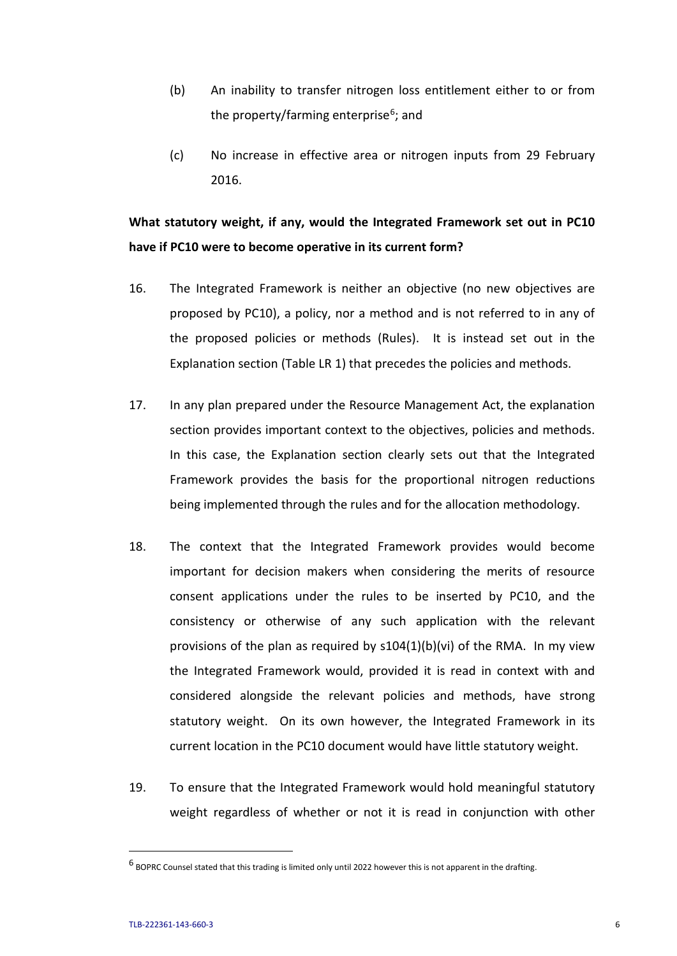- (b) An inability to transfer nitrogen loss entitlement either to or from the property/farming enterprise<sup>[6](#page-6-0)</sup>; and
- (c) No increase in effective area or nitrogen inputs from 29 February 2016.

# **What statutory weight, if any, would the Integrated Framework set out in PC10 have if PC10 were to become operative in its current form?**

- 16. The Integrated Framework is neither an objective (no new objectives are proposed by PC10), a policy, nor a method and is not referred to in any of the proposed policies or methods (Rules). It is instead set out in the Explanation section (Table LR 1) that precedes the policies and methods.
- 17. In any plan prepared under the Resource Management Act, the explanation section provides important context to the objectives, policies and methods. In this case, the Explanation section clearly sets out that the Integrated Framework provides the basis for the proportional nitrogen reductions being implemented through the rules and for the allocation methodology.
- 18. The context that the Integrated Framework provides would become important for decision makers when considering the merits of resource consent applications under the rules to be inserted by PC10, and the consistency or otherwise of any such application with the relevant provisions of the plan as required by  $s104(1)(b)(vi)$  of the RMA. In my view the Integrated Framework would, provided it is read in context with and considered alongside the relevant policies and methods, have strong statutory weight. On its own however, the Integrated Framework in its current location in the PC10 document would have little statutory weight.
- 19. To ensure that the Integrated Framework would hold meaningful statutory weight regardless of whether or not it is read in conjunction with other

<span id="page-6-0"></span> $^6$  BOPRC Counsel stated that this trading is limited only until 2022 however this is not apparent in the drafting.